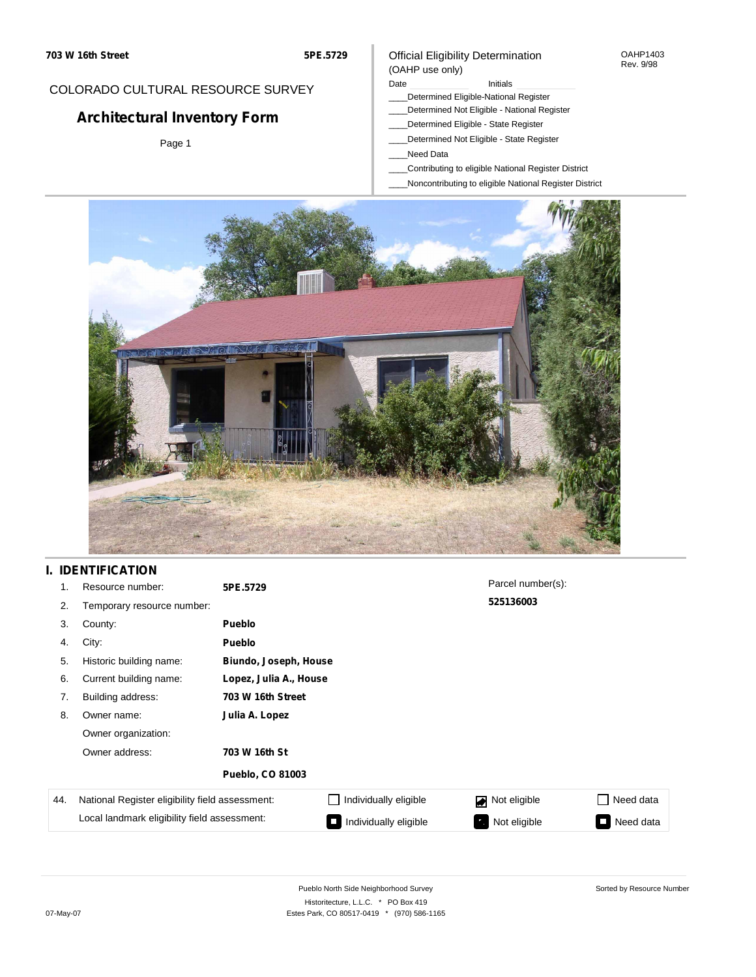#### OAHP1403 Rev. 9/98

## COLORADO CULTURAL RESOURCE SURVEY

# **Architectural Inventory Form**

Page 1

#### (OAHP use only) Date **Initials** Initials

\_\_\_\_Determined Eligible-National Register

Official Eligibility Determination

- \_\_\_\_Determined Not Eligible National Register
- \_\_\_\_Determined Eligible State Register
- \_\_\_\_Determined Not Eligible State Register
- \_\_\_\_Need Data
- \_\_\_\_Contributing to eligible National Register District
- \_\_\_\_Noncontributing to eligible National Register District



## **I. IDENTIFICATION**

| 1.  | Resource number:                                | 5PE.5729                |                       | Parcel number(s): |                 |  |
|-----|-------------------------------------------------|-------------------------|-----------------------|-------------------|-----------------|--|
| 2.  | Temporary resource number:                      |                         |                       | 525136003         |                 |  |
| 3.  | County:                                         | <b>Pueblo</b>           |                       |                   |                 |  |
| 4.  | City:                                           | <b>Pueblo</b>           |                       |                   |                 |  |
| 5.  | Historic building name:                         |                         | Biundo, Joseph, House |                   |                 |  |
| 6.  | Current building name:                          | Lopez, Julia A., House  |                       |                   |                 |  |
| 7.  | Building address:                               | 703 W 16th Street       |                       |                   |                 |  |
| 8.  | Owner name:                                     | Julia A. Lopez          |                       |                   |                 |  |
|     | Owner organization:                             |                         |                       |                   |                 |  |
|     | Owner address:                                  | 703 W 16th St           |                       |                   |                 |  |
|     |                                                 | <b>Pueblo, CO 81003</b> |                       |                   |                 |  |
| 44. | National Register eligibility field assessment: |                         | Individually eligible | Not eligible      | Need data       |  |
|     | Local landmark eligibility field assessment:    |                         | Individually eligible | Not eligible      | Need data<br>I. |  |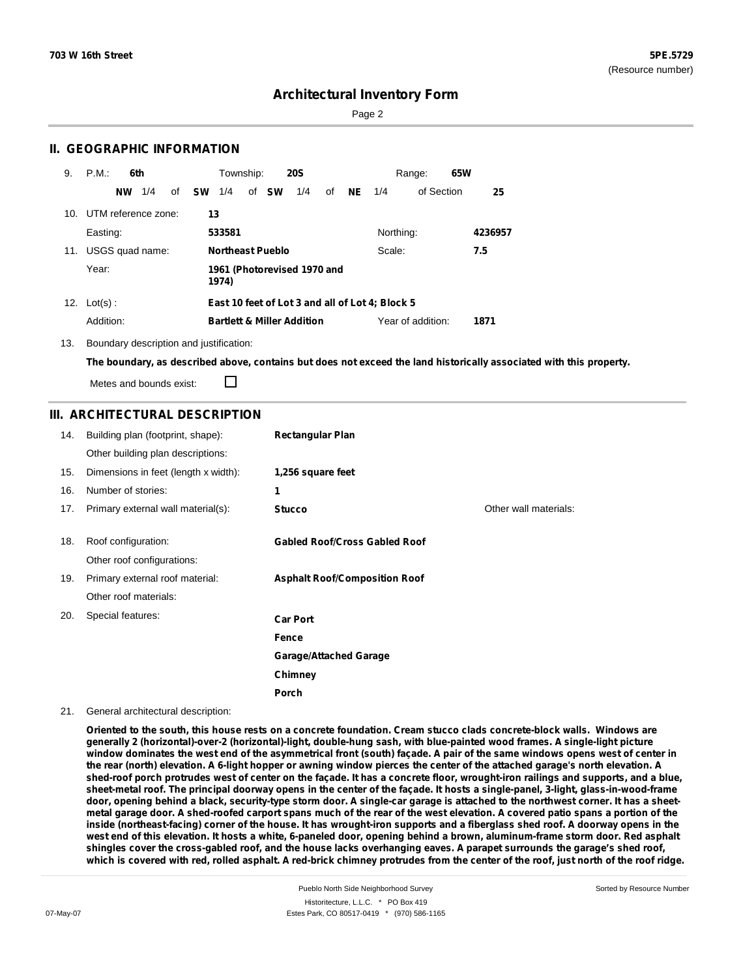Page 2

### **II. GEOGRAPHIC INFORMATION**

| 9.  | P.M.                | 6th |    |           | Township: |                         | <b>20S</b>                            |    |     |                                                 | Range:            | 65W |         |
|-----|---------------------|-----|----|-----------|-----------|-------------------------|---------------------------------------|----|-----|-------------------------------------------------|-------------------|-----|---------|
|     | <b>NW</b>           | 1/4 | of | <b>SW</b> | 1/4       | of SW                   | 1/4                                   | of | NE. | 1/4                                             | of Section        |     | 25      |
| 10. | UTM reference zone: |     |    |           | 13        |                         |                                       |    |     |                                                 |                   |     |         |
|     | Easting:            |     |    |           | 533581    |                         |                                       |    |     | Northing:                                       |                   |     | 4236957 |
| 11. | USGS quad name:     |     |    |           |           | <b>Northeast Pueblo</b> |                                       |    |     | Scale:                                          |                   |     | 7.5     |
|     | Year:               |     |    |           | 1974)     |                         | 1961 (Photorevised 1970 and           |    |     |                                                 |                   |     |         |
|     | 12. $Lot(s)$ :      |     |    |           |           |                         |                                       |    |     | East 10 feet of Lot 3 and all of Lot 4; Block 5 |                   |     |         |
|     | Addition:           |     |    |           |           |                         | <b>Bartlett &amp; Miller Addition</b> |    |     |                                                 | Year of addition: |     | 1871    |

13. Boundary description and justification:

The boundary, as described above, contains but does not exceed the land historically associated with this property.

Metes and bounds exist:

П

### **III. ARCHITECTURAL DESCRIPTION**

| 14. | Building plan (footprint, shape):    | <b>Rectangular Plan</b>              |                       |
|-----|--------------------------------------|--------------------------------------|-----------------------|
|     | Other building plan descriptions:    |                                      |                       |
| 15. | Dimensions in feet (length x width): | 1,256 square feet                    |                       |
| 16. | Number of stories:                   | 1                                    |                       |
| 17. | Primary external wall material(s):   | <b>Stucco</b>                        | Other wall materials: |
|     |                                      |                                      |                       |
| 18. | Roof configuration:                  | <b>Gabled Roof/Cross Gabled Roof</b> |                       |
|     | Other roof configurations:           |                                      |                       |
| 19. | Primary external roof material:      | <b>Asphalt Roof/Composition Roof</b> |                       |
|     | Other roof materials:                |                                      |                       |
| 20. | Special features:                    | <b>Car Port</b>                      |                       |
|     |                                      | Fence                                |                       |
|     |                                      | <b>Garage/Attached Garage</b>        |                       |
|     |                                      | Chimney                              |                       |
|     |                                      | Porch                                |                       |

21. General architectural description:

Oriented to the south, this house rests on a concrete foundation. Cream stucco clads concrete-block walls. Windows are **generally 2 (horizontal)-over-2 (horizontal)-light, double-hung sash, with blue-painted wood frames. A single-light picture** window dominates the west end of the asymmetrical front (south) façade. A pair of the same windows opens west of center in the rear (north) elevation. A 6-light hopper or awning window pierces the center of the attached garage's north elevation. A shed-roof porch protrudes west of center on the façade. It has a concrete floor, wrought-iron railings and supports, and a blue, sheet-metal roof. The principal doorway opens in the center of the façade. It hosts a single-panel, 3-light, glass-in-wood-frame door, opening behind a black, security-type storm door. A single-car garage is attached to the northwest corner. It has a sheetmetal garage door. A shed-roofed carport spans much of the rear of the west elevation. A covered patio spans a portion of the inside (northeast-facing) corner of the house. It has wrought-iron supports and a fiberglass shed roof. A doorway opens in the west end of this elevation. It hosts a white, 6-paneled door, opening behind a brown, aluminum-frame storm door. Red asphalt shingles cover the cross-gabled roof, and the house lacks overhanging eaves. A parapet surrounds the garage's shed roof, which is covered with red, rolled asphalt. A red-brick chimney protrudes from the center of the roof, just north of the roof ridge.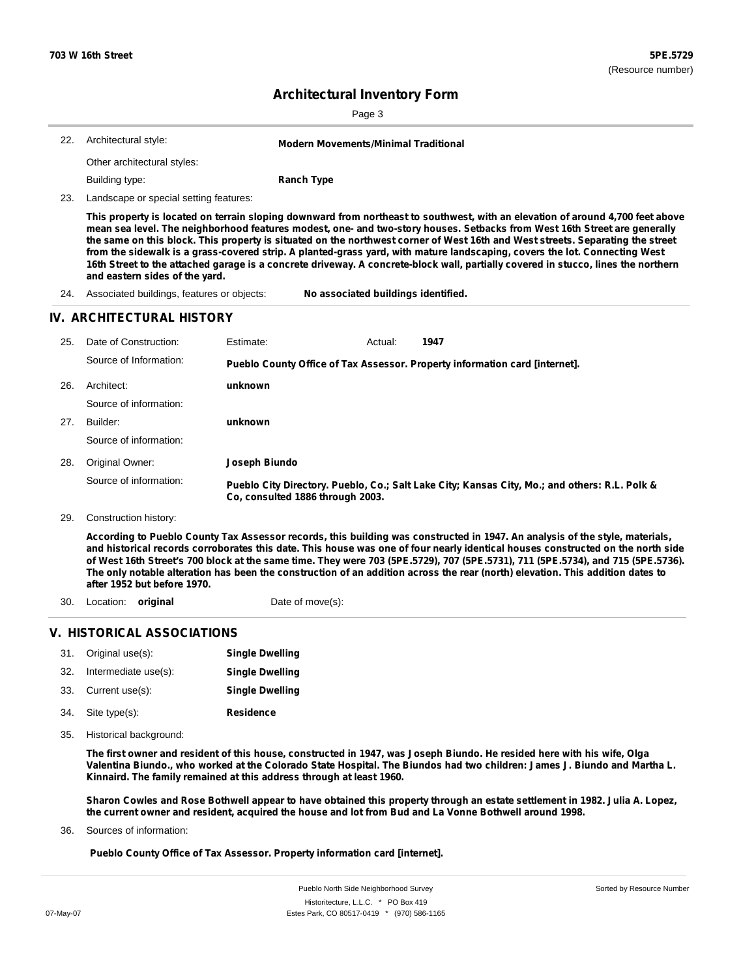| 22. | Architectural style:<br><b>Modern Movements/Minimal Traditional</b> |           |                                                                                                                                                                                                                                                                                                                                                                                                                                                                                                                             |  |  |  |  |  |
|-----|---------------------------------------------------------------------|-----------|-----------------------------------------------------------------------------------------------------------------------------------------------------------------------------------------------------------------------------------------------------------------------------------------------------------------------------------------------------------------------------------------------------------------------------------------------------------------------------------------------------------------------------|--|--|--|--|--|
|     | Other architectural styles:                                         |           |                                                                                                                                                                                                                                                                                                                                                                                                                                                                                                                             |  |  |  |  |  |
|     | Building type:                                                      |           | <b>Ranch Type</b>                                                                                                                                                                                                                                                                                                                                                                                                                                                                                                           |  |  |  |  |  |
| 23. | Landscape or special setting features:                              |           |                                                                                                                                                                                                                                                                                                                                                                                                                                                                                                                             |  |  |  |  |  |
|     |                                                                     |           | This property is located on terrain sloping downward from northeast to southwest, with an elevation of around 4,700 feet above<br>mean sea level. The neighborhood features modest, one- and two-story houses. Setbacks from West 16th Street are generally<br>the same on this block. This property is situated on the northwest corner of West 16th and West streets. Separating the street<br>from the sidewalk is a grass-covered strip. A planted-grass yard, with mature landscaping, covers the lot. Connecting West |  |  |  |  |  |
|     | and eastern sides of the yard.                                      |           | 16th Street to the attached garage is a concrete driveway. A concrete-block wall, partially covered in stucco, lines the northern                                                                                                                                                                                                                                                                                                                                                                                           |  |  |  |  |  |
| 24. | Associated buildings, features or objects:                          |           | No associated buildings identified.                                                                                                                                                                                                                                                                                                                                                                                                                                                                                         |  |  |  |  |  |
|     | IV. ARCHITECTURAL HISTORY                                           |           |                                                                                                                                                                                                                                                                                                                                                                                                                                                                                                                             |  |  |  |  |  |
| 25. | Date of Construction:                                               | Estimate: | 1947<br>Actual:                                                                                                                                                                                                                                                                                                                                                                                                                                                                                                             |  |  |  |  |  |
|     | Source of Information:                                              |           | Pueblo County Office of Tax Assessor. Property information card [internet].                                                                                                                                                                                                                                                                                                                                                                                                                                                 |  |  |  |  |  |
| 26. | Architect:                                                          | unknown   |                                                                                                                                                                                                                                                                                                                                                                                                                                                                                                                             |  |  |  |  |  |

- 27. Builder: Source of information:
- **Joseph Biundo** 28. Original Owner: Source of information: **Pueblo City Directory. Pueblo, Co.; Salt Lake City; Kansas City, Mo.; and others: R.L. Polk & Co, consulted 1886 through 2003.**

**unknown**

29. Construction history:

According to Pueblo County Tax Assessor records, this building was constructed in 1947. An analysis of the style, materials, and historical records corroborates this date. This house was one of four nearly identical houses constructed on the north side of West 16th Street's 700 block at the same time. They were 703 (5PE.5729), 707 (5PE.5731), 711 (5PE.5734), and 715 (5PE.5736). The only notable alteration has been the construction of an addition across the rear (north) elevation. This addition dates to **after 1952 but before 1970.**

30. Location: **original** Date of move(s):

#### **V. HISTORICAL ASSOCIATIONS**

| 31. | Original use(s):     | <b>Single Dwelling</b> |
|-----|----------------------|------------------------|
| 32. | Intermediate use(s): | <b>Single Dwelling</b> |
| 33. | Current use(s):      | <b>Single Dwelling</b> |
| 34. | Site type(s):        | <b>Residence</b>       |

35. Historical background:

The first owner and resident of this house, constructed in 1947, was Joseph Biundo. He resided here with his wife, Olga Valentina Biundo., who worked at the Colorado State Hospital. The Biundos had two children: James J. Biundo and Martha L. **Kinnaird. The family remained at this address through at least 1960.**

Sharon Cowles and Rose Bothwell appear to have obtained this property through an estate settlement in 1982. Julia A. Lopez, the current owner and resident, acquired the house and lot from Bud and La Vonne Bothwell around 1998.

Sources of information: 36.

**Pueblo County Office of Tax Assessor. Property information card [internet].**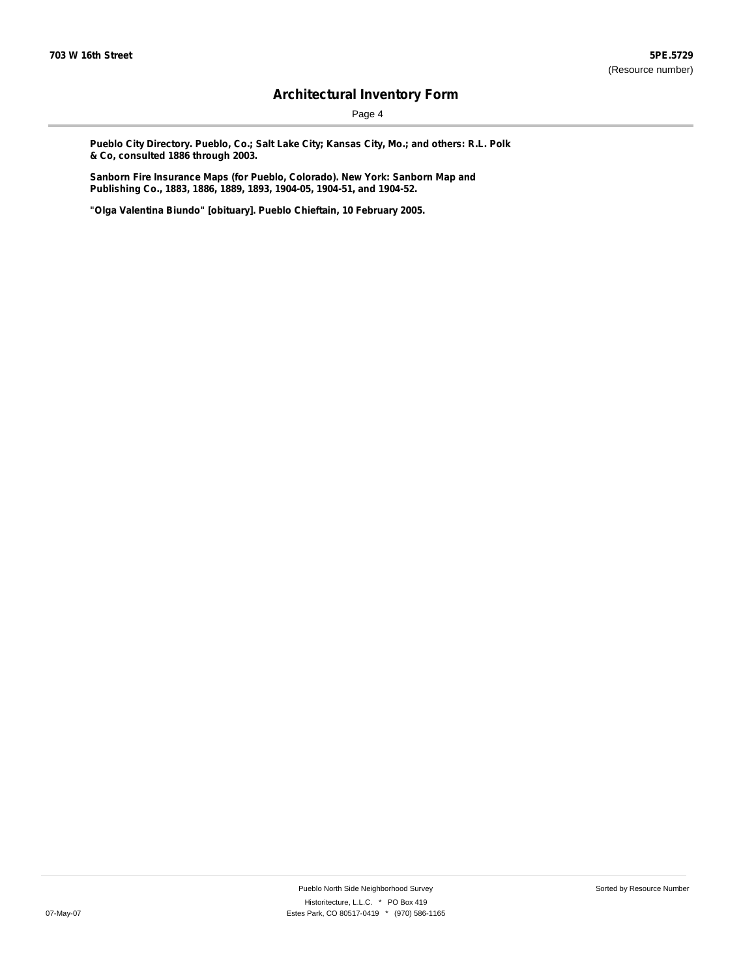Page 4

**Pueblo City Directory. Pueblo, Co.; Salt Lake City; Kansas City, Mo.; and others: R.L. Polk & Co, consulted 1886 through 2003.**

**Sanborn Fire Insurance Maps (for Pueblo, Colorado). New York: Sanborn Map and Publishing Co., 1883, 1886, 1889, 1893, 1904-05, 1904-51, and 1904-52.**

**"Olga Valentina Biundo" [obituary]. Pueblo Chieftain, 10 February 2005.**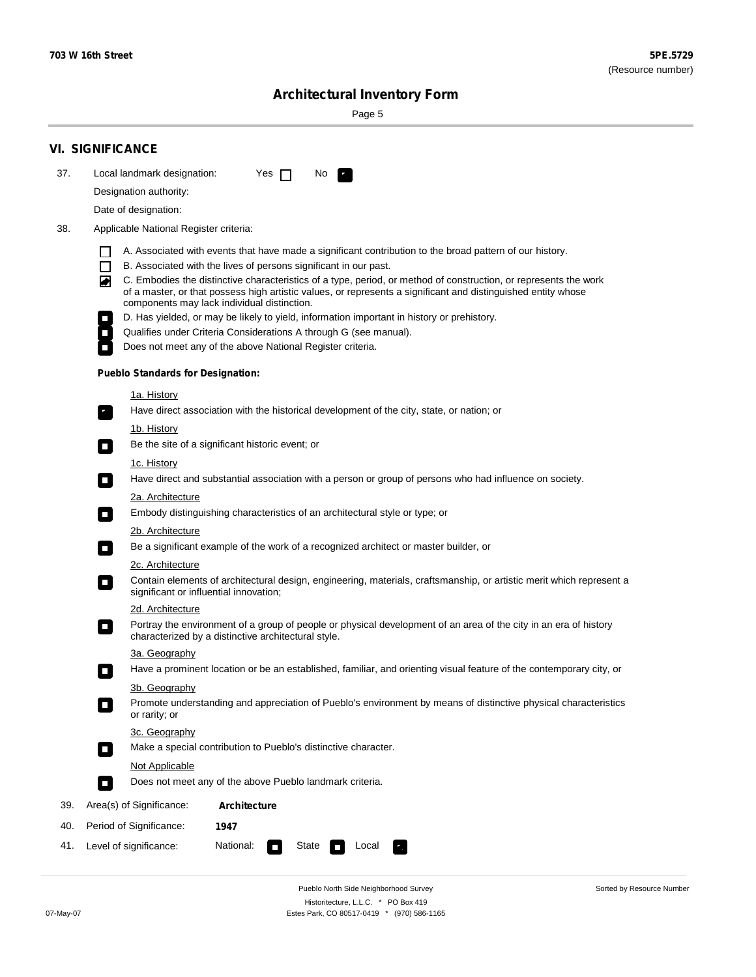÷

Sorted by Resource Number

# **Architectural Inventory Form**

Page 5

|     | <b>VI. SIGNIFICANCE</b>                                                                                                                                                                                                                                                                                                                                                                                                                                                                                                                                                                                                                                                                                                                                                           |  |  |  |  |  |
|-----|-----------------------------------------------------------------------------------------------------------------------------------------------------------------------------------------------------------------------------------------------------------------------------------------------------------------------------------------------------------------------------------------------------------------------------------------------------------------------------------------------------------------------------------------------------------------------------------------------------------------------------------------------------------------------------------------------------------------------------------------------------------------------------------|--|--|--|--|--|
| 37. | Local landmark designation:<br>Yes $\Box$<br>No.                                                                                                                                                                                                                                                                                                                                                                                                                                                                                                                                                                                                                                                                                                                                  |  |  |  |  |  |
|     | Designation authority:                                                                                                                                                                                                                                                                                                                                                                                                                                                                                                                                                                                                                                                                                                                                                            |  |  |  |  |  |
|     | Date of designation:                                                                                                                                                                                                                                                                                                                                                                                                                                                                                                                                                                                                                                                                                                                                                              |  |  |  |  |  |
| 38. | Applicable National Register criteria:                                                                                                                                                                                                                                                                                                                                                                                                                                                                                                                                                                                                                                                                                                                                            |  |  |  |  |  |
|     | A. Associated with events that have made a significant contribution to the broad pattern of our history.<br>l.<br>B. Associated with the lives of persons significant in our past.<br>$\Box$<br>C. Embodies the distinctive characteristics of a type, period, or method of construction, or represents the work<br>◙<br>of a master, or that possess high artistic values, or represents a significant and distinguished entity whose<br>components may lack individual distinction.<br>D. Has yielded, or may be likely to yield, information important in history or prehistory.<br>Qualifies under Criteria Considerations A through G (see manual).<br>Does not meet any of the above National Register criteria.<br><b>Pueblo Standards for Designation:</b><br>1a. History |  |  |  |  |  |
|     | Have direct association with the historical development of the city, state, or nation; or                                                                                                                                                                                                                                                                                                                                                                                                                                                                                                                                                                                                                                                                                         |  |  |  |  |  |
|     | <u>1b. History</u><br>Be the site of a significant historic event; or<br>$\mathcal{L}_{\mathcal{A}}$                                                                                                                                                                                                                                                                                                                                                                                                                                                                                                                                                                                                                                                                              |  |  |  |  |  |
|     | 1c. History<br>Have direct and substantial association with a person or group of persons who had influence on society.<br>$\blacksquare$                                                                                                                                                                                                                                                                                                                                                                                                                                                                                                                                                                                                                                          |  |  |  |  |  |
|     | 2a. Architecture                                                                                                                                                                                                                                                                                                                                                                                                                                                                                                                                                                                                                                                                                                                                                                  |  |  |  |  |  |
|     | Embody distinguishing characteristics of an architectural style or type; or<br>$\overline{\phantom{a}}$                                                                                                                                                                                                                                                                                                                                                                                                                                                                                                                                                                                                                                                                           |  |  |  |  |  |
|     | 2b. Architecture<br>Be a significant example of the work of a recognized architect or master builder, or<br>$\sim$                                                                                                                                                                                                                                                                                                                                                                                                                                                                                                                                                                                                                                                                |  |  |  |  |  |
|     | 2c. Architecture                                                                                                                                                                                                                                                                                                                                                                                                                                                                                                                                                                                                                                                                                                                                                                  |  |  |  |  |  |
|     | Contain elements of architectural design, engineering, materials, craftsmanship, or artistic merit which represent a<br>О<br>significant or influential innovation;                                                                                                                                                                                                                                                                                                                                                                                                                                                                                                                                                                                                               |  |  |  |  |  |
|     | 2d. Architecture                                                                                                                                                                                                                                                                                                                                                                                                                                                                                                                                                                                                                                                                                                                                                                  |  |  |  |  |  |
|     | Portray the environment of a group of people or physical development of an area of the city in an era of history<br>$\Box$<br>characterized by a distinctive architectural style.                                                                                                                                                                                                                                                                                                                                                                                                                                                                                                                                                                                                 |  |  |  |  |  |
|     | 3a. Geography                                                                                                                                                                                                                                                                                                                                                                                                                                                                                                                                                                                                                                                                                                                                                                     |  |  |  |  |  |
|     | Have a prominent location or be an established, familiar, and orienting visual feature of the contemporary city, or                                                                                                                                                                                                                                                                                                                                                                                                                                                                                                                                                                                                                                                               |  |  |  |  |  |
|     | 3b. Geography<br>Promote understanding and appreciation of Pueblo's environment by means of distinctive physical characteristics<br>or rarity; or                                                                                                                                                                                                                                                                                                                                                                                                                                                                                                                                                                                                                                 |  |  |  |  |  |
|     | 3c. Geography<br>Make a special contribution to Pueblo's distinctive character.<br>$\sim$                                                                                                                                                                                                                                                                                                                                                                                                                                                                                                                                                                                                                                                                                         |  |  |  |  |  |
|     | Not Applicable                                                                                                                                                                                                                                                                                                                                                                                                                                                                                                                                                                                                                                                                                                                                                                    |  |  |  |  |  |
|     | Does not meet any of the above Pueblo landmark criteria.<br>$\overline{\phantom{a}}$                                                                                                                                                                                                                                                                                                                                                                                                                                                                                                                                                                                                                                                                                              |  |  |  |  |  |
| 39. | Area(s) of Significance:<br><b>Architecture</b>                                                                                                                                                                                                                                                                                                                                                                                                                                                                                                                                                                                                                                                                                                                                   |  |  |  |  |  |
| 40. | Period of Significance:<br>1947                                                                                                                                                                                                                                                                                                                                                                                                                                                                                                                                                                                                                                                                                                                                                   |  |  |  |  |  |
| 41. | National:<br>Level of significance:<br>State<br>Local<br>т,<br>П                                                                                                                                                                                                                                                                                                                                                                                                                                                                                                                                                                                                                                                                                                                  |  |  |  |  |  |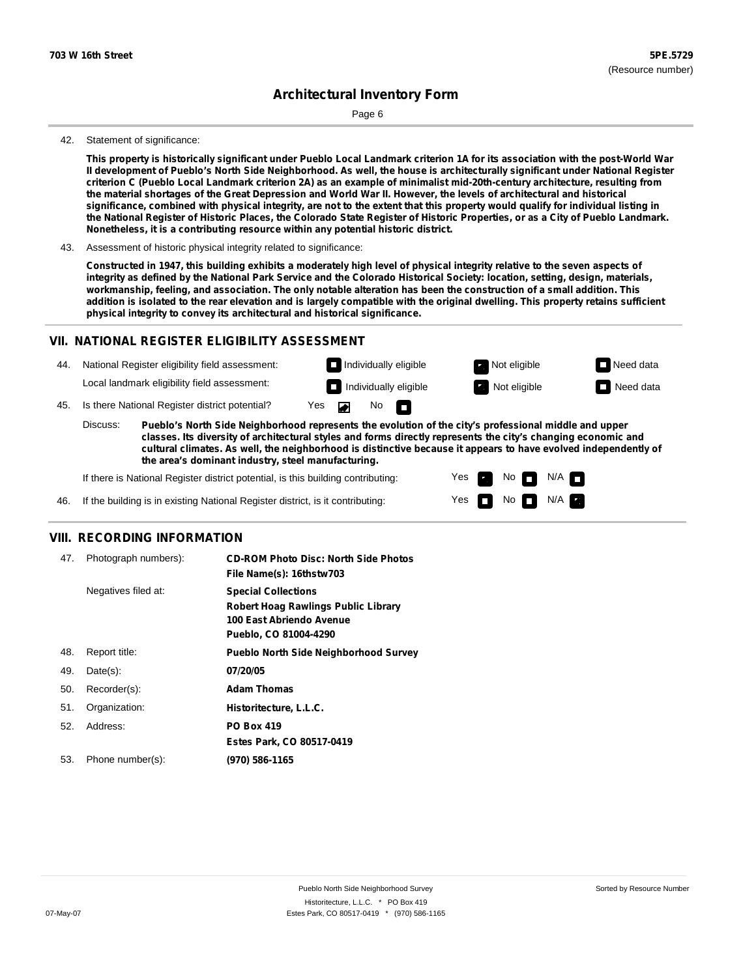Page 6

#### 42. Statement of significance:

This property is historically significant under Pueblo Local Landmark criterion 1A for its association with the post-World War Il development of Pueblo's North Side Neighborhood. As well, the house is architecturally significant under National Register criterion C (Pueblo Local Landmark criterion 2A) as an example of minimalist mid-20th-century architecture, resulting from the material shortages of the Great Depression and World War II. However, the levels of architectural and historical significance, combined with physical integrity, are not to the extent that this property would qualify for individual listing in the National Register of Historic Places, the Colorado State Register of Historic Properties, or as a City of Pueblo Landmark. **Nonetheless, it is a contributing resource within any potential historic district.**

43. Assessment of historic physical integrity related to significance:

Constructed in 1947, this building exhibits a moderately high level of physical integrity relative to the seven aspects of integrity as defined by the National Park Service and the Colorado Historical Society: location, setting, design, materials, workmanship, feeling, and association. The only notable alteration has been the construction of a small addition. This addition is isolated to the rear elevation and is largely compatible with the original dwelling. This property retains sufficient **physical integrity to convey its architectural and historical significance.**

#### **VII. NATIONAL REGISTER ELIGIBILITY ASSESSMENT**

44. National Register eligibility field assessment: Local landmark eligibility field assessment:

**Individually eligible Not eligible Not eligible Need data** 

No<sub>D</sub>

**Individually eligible Not eligible** Not eligible **Need data** 

45. Is there National Register district potential? Yes

**Pueblo's North Side Neighborhood represents the evolution of the city's professional middle and upper classes. Its diversity of architectural styles and forms directly represents the city's changing economic and cultural climates. As well, the neighborhood is distinctive because it appears to have evolved independently of the area's dominant industry, steel manufacturing.** Discuss:

 $\blacksquare$ 

Yes Yes No

 $No$   $N/A$ 

 $N/A$   $\Box$ 

If there is National Register district potential, is this building contributing:



#### **VIII. RECORDING INFORMATION**

| 47. | Photograph numbers): | <b>CD-ROM Photo Disc: North Side Photos</b><br>File Name(s): 16thstw703                                                       |
|-----|----------------------|-------------------------------------------------------------------------------------------------------------------------------|
|     | Negatives filed at:  | <b>Special Collections</b><br><b>Robert Hoag Rawlings Public Library</b><br>100 East Abriendo Avenue<br>Pueblo, CO 81004-4290 |
| 48. | Report title:        | <b>Pueblo North Side Neighborhood Survey</b>                                                                                  |
| 49. | $Date(s)$ :          | 07/20/05                                                                                                                      |
| 50. | Recorder(s):         | <b>Adam Thomas</b>                                                                                                            |
| 51. | Organization:        | Historitecture, L.L.C.                                                                                                        |
| 52. | Address:             | <b>PO Box 419</b>                                                                                                             |
|     |                      | Estes Park, CO 80517-0419                                                                                                     |
| 53. | Phone number(s):     | (970) 586-1165                                                                                                                |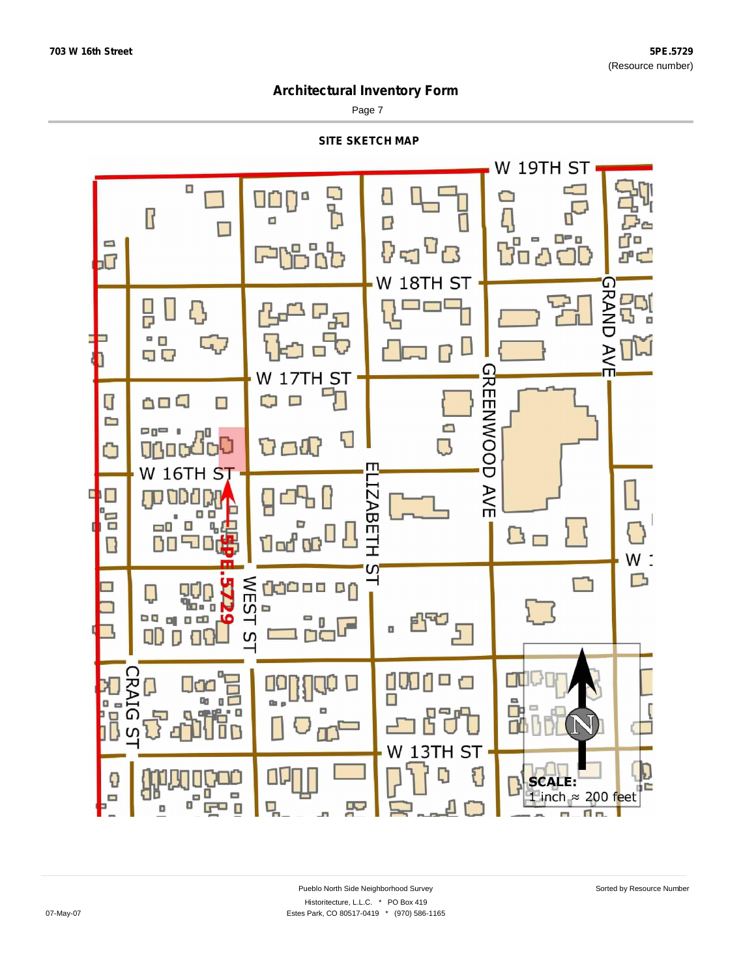Page 7